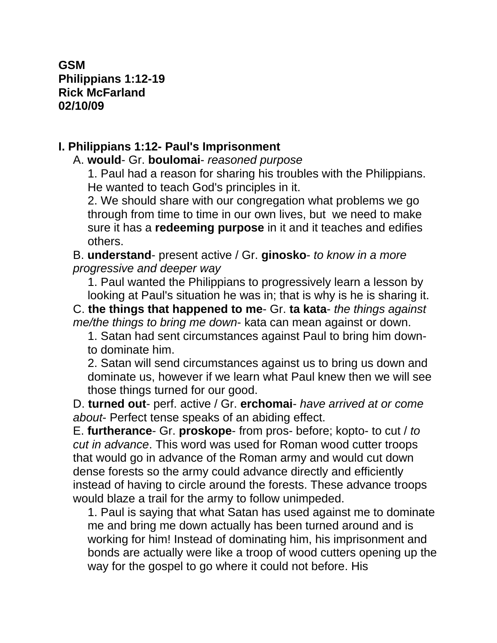**GSM Philippians 1:12-19 Rick McFarland 02/10/09**

## **I. Philippians 1:12- Paul's Imprisonment**

A. **would**- Gr. **boulomai**- *reasoned purpose*

1. Paul had a reason for sharing his troubles with the Philippians. He wanted to teach God's principles in it.

2. We should share with our congregation what problems we go through from time to time in our own lives, but we need to make sure it has a **redeeming purpose** in it and it teaches and edifies others.

B. **understand**- present active / Gr. **ginosko**- *to know in a more progressive and deeper way*

1. Paul wanted the Philippians to progressively learn a lesson by looking at Paul's situation he was in; that is why is he is sharing it.

C. **the things that happened to me**- Gr. **ta kata**- *the things against me/the things to bring me down*- kata can mean against or down.

1. Satan had sent circumstances against Paul to bring him downto dominate him.

2. Satan will send circumstances against us to bring us down and dominate us, however if we learn what Paul knew then we will see those things turned for our good.

D. **turned out**- perf. active / Gr. **erchomai**- *have arrived at or come about*- Perfect tense speaks of an abiding effect.

E. **furtherance**- Gr. **proskope**- from pros- before; kopto- to cut / *to cut in advance*. This word was used for Roman wood cutter troops that would go in advance of the Roman army and would cut down dense forests so the army could advance directly and efficiently instead of having to circle around the forests. These advance troops would blaze a trail for the army to follow unimpeded.

1. Paul is saying that what Satan has used against me to dominate me and bring me down actually has been turned around and is working for him! Instead of dominating him, his imprisonment and bonds are actually were like a troop of wood cutters opening up the way for the gospel to go where it could not before. His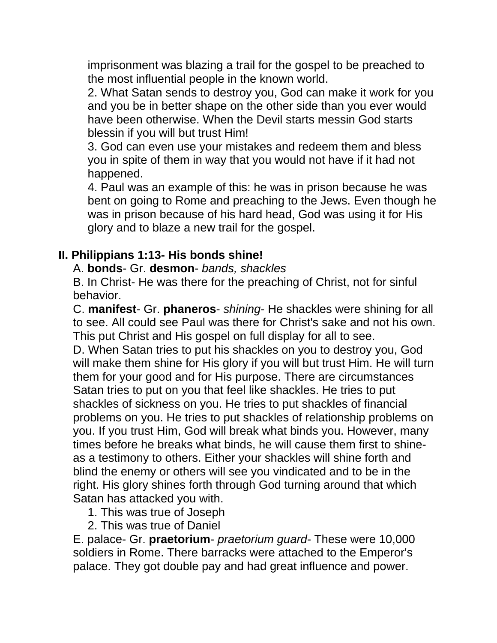imprisonment was blazing a trail for the gospel to be preached to the most influential people in the known world.

2. What Satan sends to destroy you, God can make it work for you and you be in better shape on the other side than you ever would have been otherwise. When the Devil starts messin God starts blessin if you will but trust Him!

3. God can even use your mistakes and redeem them and bless you in spite of them in way that you would not have if it had not happened.

4. Paul was an example of this: he was in prison because he was bent on going to Rome and preaching to the Jews. Even though he was in prison because of his hard head, God was using it for His glory and to blaze a new trail for the gospel.

#### **II. Philippians 1:13- His bonds shine!**

#### A. **bonds**- Gr. **desmon**- *bands, shackles*

B. In Christ- He was there for the preaching of Christ, not for sinful behavior.

C. **manifest**- Gr. **phaneros**- *shining*- He shackles were shining for all to see. All could see Paul was there for Christ's sake and not his own. This put Christ and His gospel on full display for all to see.

D. When Satan tries to put his shackles on you to destroy you, God will make them shine for His glory if you will but trust Him. He will turn them for your good and for His purpose. There are circumstances Satan tries to put on you that feel like shackles. He tries to put shackles of sickness on you. He tries to put shackles of financial problems on you. He tries to put shackles of relationship problems on you. If you trust Him, God will break what binds you. However, many times before he breaks what binds, he will cause them first to shineas a testimony to others. Either your shackles will shine forth and blind the enemy or others will see you vindicated and to be in the right. His glory shines forth through God turning around that which Satan has attacked you with.

1. This was true of Joseph

2. This was true of Daniel

E. palace- Gr. **praetorium**- *praetorium guard*- These were 10,000 soldiers in Rome. There barracks were attached to the Emperor's palace. They got double pay and had great influence and power.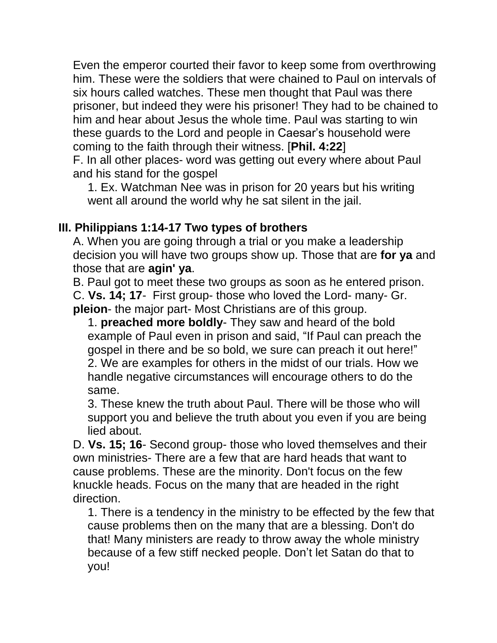Even the emperor courted their favor to keep some from overthrowing him. These were the soldiers that were chained to Paul on intervals of six hours called watches. These men thought that Paul was there prisoner, but indeed they were his prisoner! They had to be chained to him and hear about Jesus the whole time. Paul was starting to win these guards to the Lord and people in Caesar's household were coming to the faith through their witness. [**Phil. 4:22**]

F. In all other places- word was getting out every where about Paul and his stand for the gospel

1. Ex. Watchman Nee was in prison for 20 years but his writing went all around the world why he sat silent in the jail.

## **III. Philippians 1:14-17 Two types of brothers**

A. When you are going through a trial or you make a leadership decision you will have two groups show up. Those that are **for ya** and those that are **agin' ya**.

B. Paul got to meet these two groups as soon as he entered prison. C. **Vs. 14; 17**- First group- those who loved the Lord- many- Gr. **pleion**- the major part- Most Christians are of this group.

1. **preached more boldly**- They saw and heard of the bold example of Paul even in prison and said, "If Paul can preach the gospel in there and be so bold, we sure can preach it out here!" 2. We are examples for others in the midst of our trials. How we handle negative circumstances will encourage others to do the same.

3. These knew the truth about Paul. There will be those who will support you and believe the truth about you even if you are being lied about.

D. **Vs. 15; 16**- Second group- those who loved themselves and their own ministries- There are a few that are hard heads that want to cause problems. These are the minority. Don't focus on the few knuckle heads. Focus on the many that are headed in the right direction.

1. There is a tendency in the ministry to be effected by the few that cause problems then on the many that are a blessing. Don't do that! Many ministers are ready to throw away the whole ministry because of a few stiff necked people. Don't let Satan do that to you!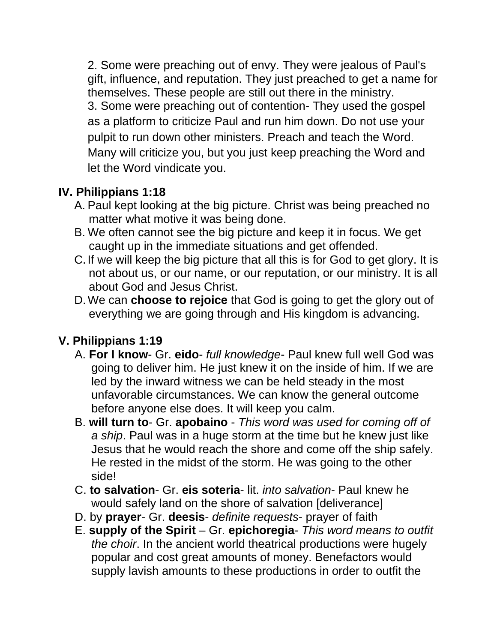2. Some were preaching out of envy. They were jealous of Paul's gift, influence, and reputation. They just preached to get a name for themselves. These people are still out there in the ministry. 3. Some were preaching out of contention- They used the gospel as a platform to criticize Paul and run him down. Do not use your pulpit to run down other ministers. Preach and teach the Word. Many will criticize you, but you just keep preaching the Word and let the Word vindicate you.

## **IV. Philippians 1:18**

- A. Paul kept looking at the big picture. Christ was being preached no matter what motive it was being done.
- B. We often cannot see the big picture and keep it in focus. We get caught up in the immediate situations and get offended.
- C.If we will keep the big picture that all this is for God to get glory. It is not about us, or our name, or our reputation, or our ministry. It is all about God and Jesus Christ.
- D.We can **choose to rejoice** that God is going to get the glory out of everything we are going through and His kingdom is advancing.

# **V. Philippians 1:19**

- A. **For I know** Gr. **eido** *full knowledge* Paul knew full well God was going to deliver him. He just knew it on the inside of him. If we are led by the inward witness we can be held steady in the most unfavorable circumstances. We can know the general outcome before anyone else does. It will keep you calm.
- B. **will turn to** Gr. **apobaino** *This word was used for coming off of a ship*. Paul was in a huge storm at the time but he knew just like Jesus that he would reach the shore and come off the ship safely. He rested in the midst of the storm. He was going to the other side!
- C. **to salvation** Gr. **eis soteria** lit. *into salvation* Paul knew he would safely land on the shore of salvation [deliverance]
- D. by **prayer** Gr. **deesis** *definite requests* prayer of faith
- E. **supply of the Spirit** Gr. **epichoregia** *This word means to outfit the choir*. In the ancient world theatrical productions were hugely popular and cost great amounts of money. Benefactors would supply lavish amounts to these productions in order to outfit the